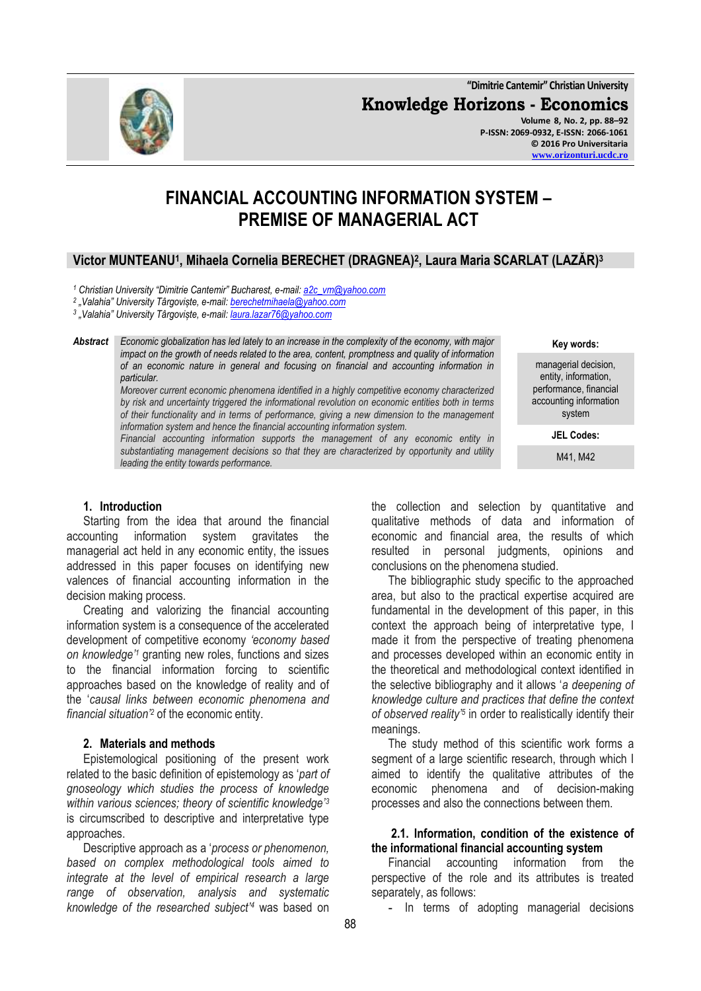**"Dimitrie Cantemir" Christian University Knowledge Horizons - Economics Volume 8, No. 2, pp. 88–92 P-ISSN: 2069-0932, E-ISSN: 2066-1061 © 2016 Pro Universitaria [www.orizonturi.ucdc.ro](http://www.orizonturi.ucdc.ro/)**

# **FINANCIAL ACCOUNTING INFORMATION SYSTEM – PREMISE OF MANAGERIAL ACT**

# **Victor MUNTEANU<sup>1</sup> , Mihaela Cornelia BERECHET (DRAGNEA)<sup>2</sup> , Laura Maria SCARLAT (LAZĂR)<sup>3</sup>**

*<sup>1</sup> Christian University "Dimitrie Cantemir" Bucharest, e-mail: [a2c\\_vm@yahoo.com](mailto:a2c_vm@yahoo.com)*

*2 "Valahia" University Târgoviște, e-mail[: berechetmihaela@yahoo.com](mailto:berechetmihaela@yahoo.com)*

*3 "Valahia" University Târgoviște, e-mail[: laura.lazar76@yahoo.com](mailto:laura.lazar76@yahoo.com)*

*Abstract Economic globalization has led lately to an increase in the complexity of the economy, with major impact on the growth of needs related to the area, content, promptness and quality of information of an economic nature in general and focusing on financial and accounting information in particular.*

*Moreover current economic phenomena identified in a highly competitive economy characterized by risk and uncertainty triggered the informational revolution on economic entities both in terms of their functionality and in terms of performance, giving a new dimension to the management information system and hence the financial accounting information system.*

*Financial accounting information supports the management of any economic entity in substantiating management decisions so that they are characterized by opportunity and utility leading the entity towards performance.*

#### **1. Introduction**

Starting from the idea that around the financial accounting information system gravitates the information system gravitates the managerial act held in any economic entity, the issues addressed in this paper focuses on identifying new valences of financial accounting information in the decision making process.

Creating and valorizing the financial accounting information system is a consequence of the accelerated development of competitive economy *"economy based on knowledge"<sup>1</sup>* granting new roles, functions and sizes to the financial information forcing to scientific approaches based on the knowledge of reality and of the '*causal links between economic phenomena and financial situation"<sup>2</sup>* of the economic entity.

#### **2. Materials and methods**

Epistemological positioning of the present work related to the basic definition of epistemology as '*part of gnoseology which studies the process of knowledge within various sciences; theory of scientific knowledge"<sup>3</sup>* is circumscribed to descriptive and interpretative type approaches.

Descriptive approach as a '*process or phenomenon, based on complex methodological tools aimed to integrate at the level of empirical research a large range of observation, analysis and systematic knowledge of the researched subject"<sup>4</sup>* was based on the collection and selection by quantitative and qualitative methods of data and information of economic and financial area, the results of which resulted in personal judgments, opinions and conclusions on the phenomena studied.

The bibliographic study specific to the approached area, but also to the practical expertise acquired are fundamental in the development of this paper, in this context the approach being of interpretative type, I made it from the perspective of treating phenomena and processes developed within an economic entity in the theoretical and methodological context identified in the selective bibliography and it allows '*a deepening of knowledge culture and practices that define the context of observed reality"<sup>5</sup>* in order to realistically identify their meanings.

The study method of this scientific work forms a segment of a large scientific research, through which I aimed to identify the qualitative attributes of the economic phenomena and of decision-making processes and also the connections between them.

#### **2.1. Information, condition of the existence of the informational financial accounting system**

Financial accounting information from the perspective of the role and its attributes is treated separately, as follows:

**-** In terms of adopting managerial decisions



**Key words:**

managerial decision, entity, information, performance, financial accounting information system

**JEL Codes:**

M41, M42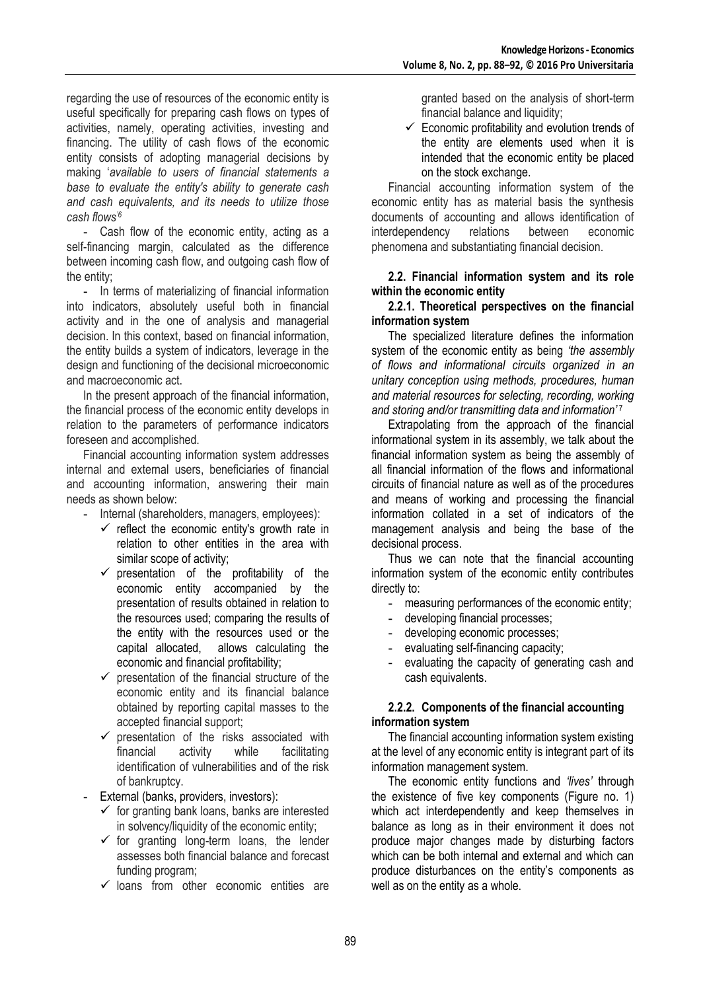regarding the use of resources of the economic entity is useful specifically for preparing cash flows on types of activities, namely, operating activities, investing and financing. The utility of cash flows of the economic entity consists of adopting managerial decisions by making '*available to users of financial statements a base to evaluate the entity's ability to generate cash and cash equivalents, and its needs to utilize those cash flows"<sup>6</sup>*

**-** Cash flow of the economic entity, acting as a self-financing margin, calculated as the difference between incoming cash flow, and outgoing cash flow of the entity;

**-** In terms of materializing of financial information into indicators, absolutely useful both in financial activity and in the one of analysis and managerial decision. In this context, based on financial information, the entity builds a system of indicators, leverage in the design and functioning of the decisional microeconomic and macroeconomic act.

In the present approach of the financial information, the financial process of the economic entity develops in relation to the parameters of performance indicators foreseen and accomplished.

Financial accounting information system addresses internal and external users, beneficiaries of financial and accounting information, answering their main needs as shown below:

**-** Internal (shareholders, managers, employees):

- $\checkmark$  reflect the economic entity's growth rate in relation to other entities in the area with similar scope of activity;
- $\checkmark$  presentation of the profitability of the economic entity accompanied by the presentation of results obtained in relation to the resources used; comparing the results of the entity with the resources used or the capital allocated, allows calculating the economic and financial profitability;
- $\checkmark$  presentation of the financial structure of the economic entity and its financial balance obtained by reporting capital masses to the accepted financial support;
- $\checkmark$  presentation of the risks associated with<br>financial activity while facilitating financial activity while facilitating identification of vulnerabilities and of the risk of bankruptcy.
- **-** External (banks, providers, investors):
	- $\checkmark$  for granting bank loans, banks are interested in solvency/liquidity of the economic entity;
	- $\checkmark$  for granting long-term loans, the lender assesses both financial balance and forecast funding program;
	- $\checkmark$  loans from other economic entities are

granted based on the analysis of short-term financial balance and liquidity:

 $\checkmark$  Economic profitability and evolution trends of the entity are elements used when it is intended that the economic entity be placed on the stock exchange.

Financial accounting information system of the economic entity has as material basis the synthesis documents of accounting and allows identification of interdependency relations between economic phenomena and substantiating financial decision.

#### **2.2. Financial information system and its role within the economic entity**

#### **2.2.1. Theoretical perspectives on the financial information system**

The specialized literature defines the information system of the economic entity as being *"the assembly of flows and informational circuits organized in an unitary conception using methods, procedures, human and material resources for selecting, recording, working and storing and/or transmitting data and information"* <sup>7</sup>

Extrapolating from the approach of the financial informational system in its assembly, we talk about the financial information system as being the assembly of all financial information of the flows and informational circuits of financial nature as well as of the procedures and means of working and processing the financial information collated in a set of indicators of the management analysis and being the base of the decisional process.

Thus we can note that the financial accounting information system of the economic entity contributes directly to:

- **-** measuring performances of the economic entity;
- **-** developing financial processes;
- **-** developing economic processes;
- **-** evaluating self-financing capacity;
- **-** evaluating the capacity of generating cash and cash equivalents.

## **2.2.2. Components of the financial accounting information system**

The financial accounting information system existing at the level of any economic entity is integrant part of its information management system.

The economic entity functions and *"lives"* through the existence of five key components (Figure no. 1) which act interdependently and keep themselves in balance as long as in their environment it does not produce major changes made by disturbing factors which can be both internal and external and which can produce disturbances on the entity's components as well as on the entity as a whole.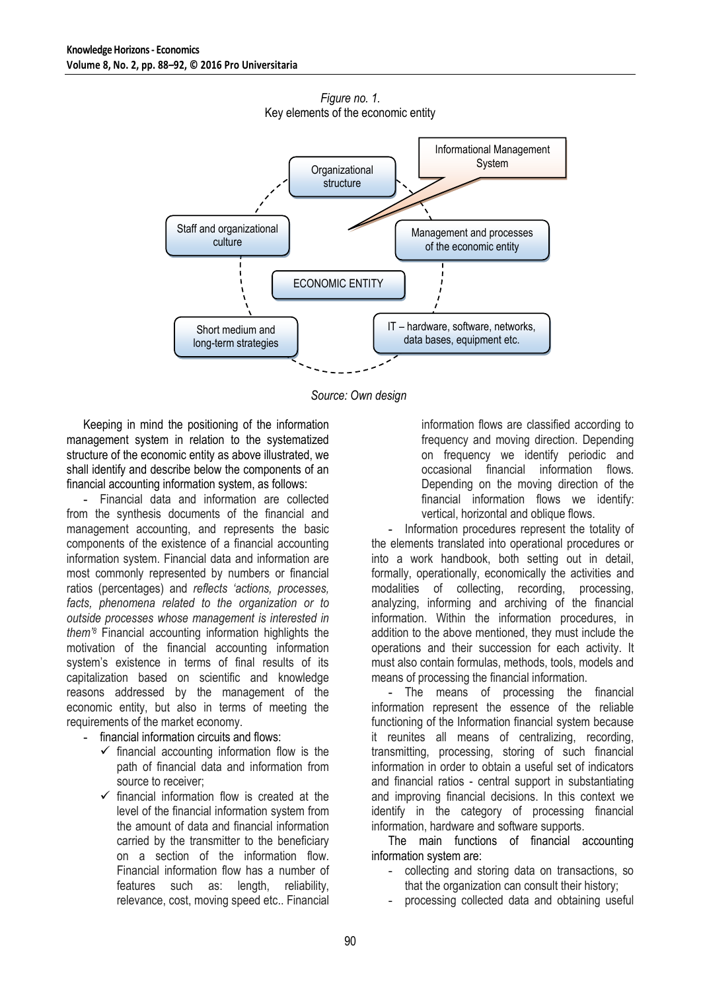

*Figure no. 1.* Key elements of the economic entity

*Source: Own design*

Keeping in mind the positioning of the information management system in relation to the systematized structure of the economic entity as above illustrated, we shall identify and describe below the components of an financial accounting information system, as follows:

**-** Financial data and information are collected from the synthesis documents of the financial and management accounting, and represents the basic components of the existence of a financial accounting information system. Financial data and information are most commonly represented by numbers or financial ratios (percentages) and *reflects "actions, processes, facts, phenomena related to the organization or to outside processes whose management is interested in them"<sup>8</sup>* Financial accounting information highlights the motivation of the financial accounting information system's existence in terms of final results of its capitalization based on scientific and knowledge reasons addressed by the management of the economic entity, but also in terms of meeting the requirements of the market economy.

- **-** financial information circuits and flows:
	- $\checkmark$  financial accounting information flow is the path of financial data and information from source to receiver;
	- $\checkmark$  financial information flow is created at the level of the financial information system from the amount of data and financial information carried by the transmitter to the beneficiary on a section of the information flow. Financial information flow has a number of features such as: length, reliability, relevance, cost, moving speed etc.. Financial

information flows are classified according to frequency and moving direction. Depending on frequency we identify periodic and occasional financial information flows. Depending on the moving direction of the financial information flows we identify: vertical, horizontal and oblique flows.

**-** Information procedures represent the totality of the elements translated into operational procedures or into a work handbook, both setting out in detail, formally, operationally, economically the activities and modalities of collecting, recording, processing, analyzing, informing and archiving of the financial information. Within the information procedures, in addition to the above mentioned, they must include the operations and their succession for each activity. It must also contain formulas, methods, tools, models and means of processing the financial information.

**-** The means of processing the financial information represent the essence of the reliable functioning of the Information financial system because it reunites all means of centralizing, recording, transmitting, processing, storing of such financial information in order to obtain a useful set of indicators and financial ratios - central support in substantiating and improving financial decisions. In this context we identify in the category of processing financial information, hardware and software supports.

The main functions of financial accounting information system are:

- collecting and storing data on transactions, so that the organization can consult their history;
- processing collected data and obtaining useful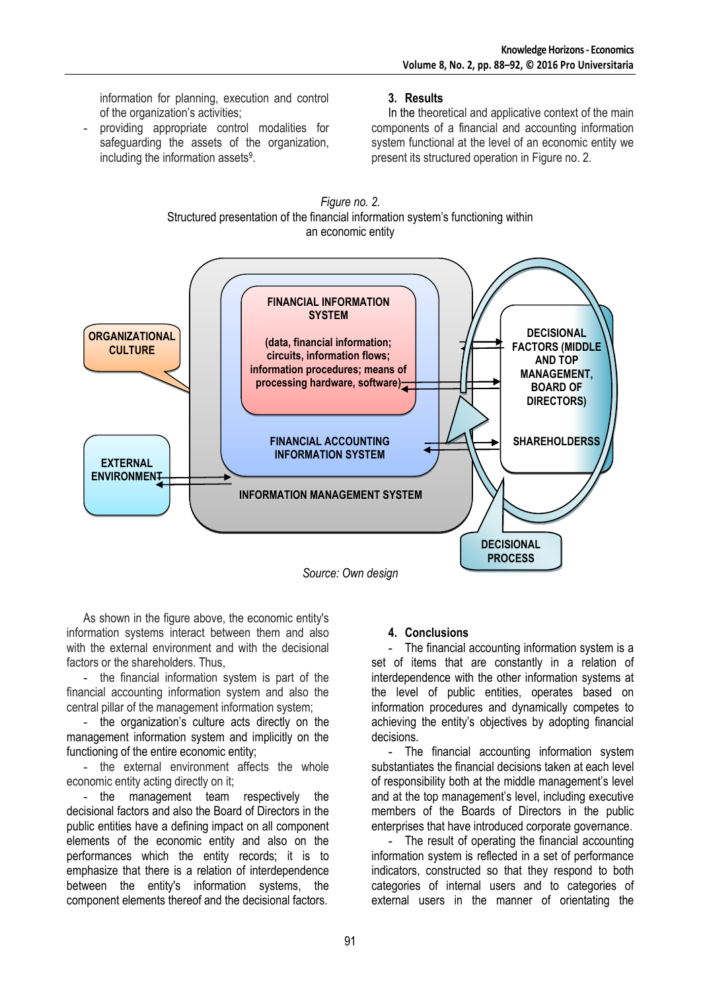information for planning, execution and control of the organization's activities;

providing appropriate control modalities for safeguarding the assets of the organization, including the information assets<sup>9</sup>.

# **3. Results**

In the theoretical and applicative context of the main components of a financial and accounting information system functional at the level of an economic entity we present its structured operation in Figure no. 2.



*Figure no. 2.*

*Source: Own design*

As shown in the figure above, the economic entity's information systems interact between them and also with the external environment and with the decisional factors or the shareholders. Thus,

- the financial information system is part of the financial accounting information system and also the central pillar of the management information system;

- the organization's culture acts directly on the management information system and implicitly on the functioning of the entire economic entity;

- the external environment affects the whole economic entity acting directly on it;

- the management team respectively the decisional factors and also the Board of Directors in the public entities have a defining impact on all component elements of the economic entity and also on the performances which the entity records; it is to emphasize that there is a relation of interdependence between the entity's information systems, the component elements thereof and the decisional factors.

## **4. Conclusions**

**-** The financial accounting information system is a set of items that are constantly in a relation of interdependence with the other information systems at the level of public entities, operates based on information procedures and dynamically competes to achieving the entity's objectives by adopting financial decisions.

**-** The financial accounting information system substantiates the financial decisions taken at each level of responsibility both at the middle management's level and at the top management's level, including executive members of the Boards of Directors in the public enterprises that have introduced corporate governance.

**-** The result of operating the financial accounting information system is reflected in a set of performance indicators, constructed so that they respond to both categories of internal users and to categories of external users in the manner of orientating the